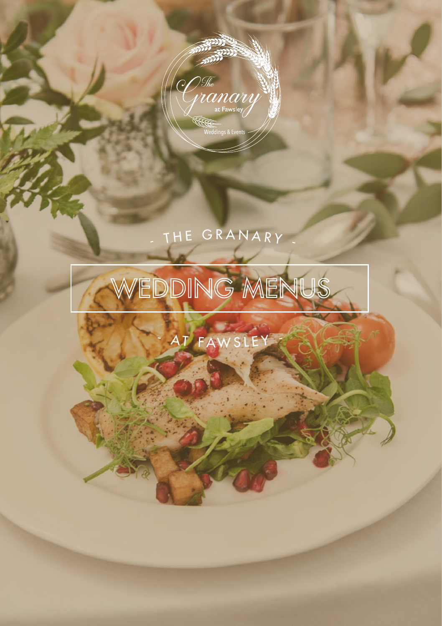ranari at Fawsley KRA

# THE GRANARY

# WEDDING MENUS

# AT FAWSLEY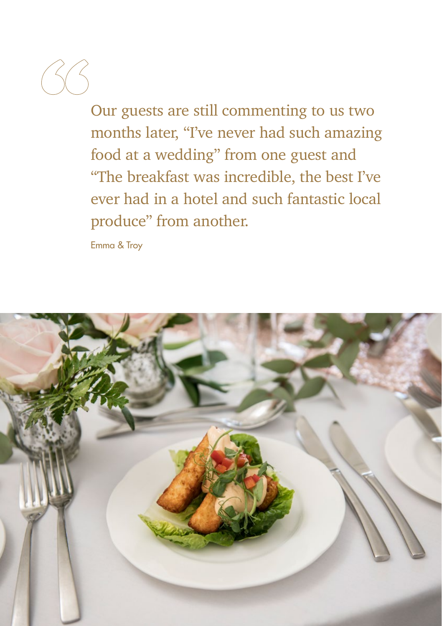

Our guests are still commenting to us two months later, "I've never had such amazing food at a wedding" from one guest and "The breakfast was incredible, the best I've ever had in a hotel and such fantastic local produce" from another.

Emma & Troy

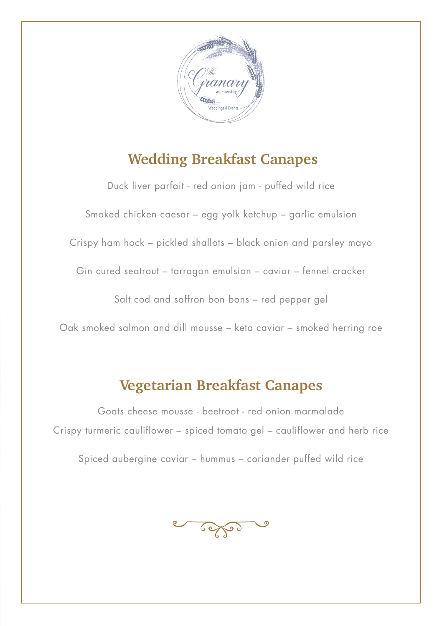

# **Wedding Breakfast Canapes**

Duck liver parfait - red onion jam - puffed wild rice Smoked chicken caesar – egg yolk ketchup – garlic emulsion Crispy ham hock – pickled shallots – black onion and parsley mayo Gin cured seatrout – tarragon emulsion – caviar – fennel cracker Salt cod and saffron bon bons – red pepper gel

Oak smoked salmon and dill mousse – keta caviar – smoked herring roe

# **Vegetarian Breakfast Canapes**

Goats cheese mousse - beetroot - red onion marmalade Crispy turmeric cauliflower – spiced tomato gel – cauliflower and herb rice

Spiced aubergine caviar – hummus – coriander puffed wild rice

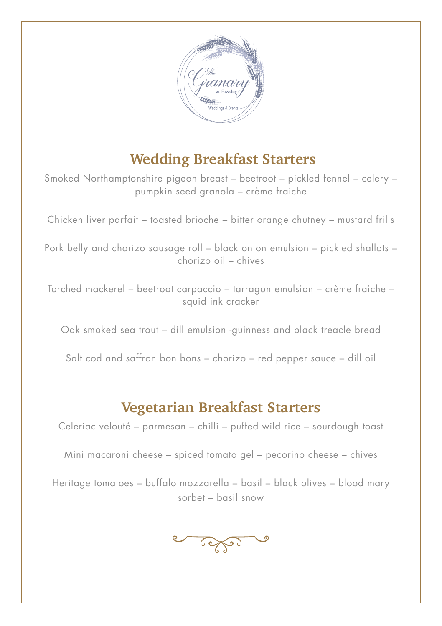

# **Wedding Breakfast Starters**

Smoked Northamptonshire pigeon breast – beetroot – pickled fennel – celery – pumpkin seed granola – crème fraiche

Chicken liver parfait – toasted brioche – bitter orange chutney – mustard frills

Pork belly and chorizo sausage roll – black onion emulsion – pickled shallots – chorizo oil – chives

Torched mackerel – beetroot carpaccio – tarragon emulsion – crème fraiche – squid ink cracker

Oak smoked sea trout – dill emulsion -guinness and black treacle bread

Salt cod and saffron bon bons – chorizo – red pepper sauce – dill oil

# **Vegetarian Breakfast Starters**

Celeriac velouté – parmesan – chilli – puffed wild rice – sourdough toast

Mini macaroni cheese – spiced tomato gel – pecorino cheese – chives

Heritage tomatoes – buffalo mozzarella – basil – black olives – blood mary sorbet – basil snow

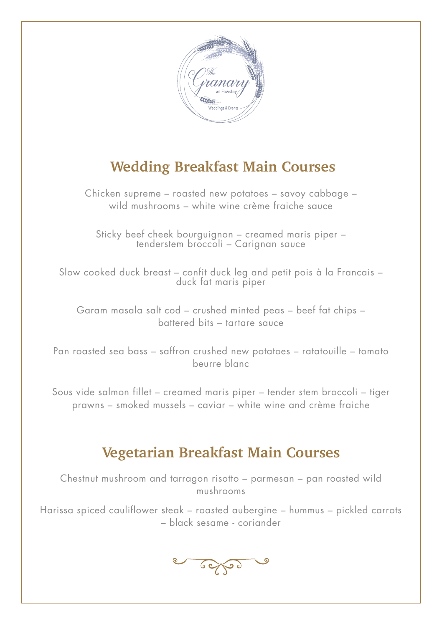

# **Wedding Breakfast Main Courses**

Chicken supreme – roasted new potatoes – savoy cabbage – wild mushrooms – white wine crème fraiche sauce

Sticky beef cheek bourguignon – creamed maris piper – tenderstem broccoli – Carignan sauce

Slow cooked duck breast – confit duck leg and petit pois à la Francais – duck fat maris piper

Garam masala salt cod – crushed minted peas – beef fat chips – battered bits – tartare sauce

Pan roasted sea bass – saffron crushed new potatoes – ratatouille – tomato beurre blanc

Sous vide salmon fillet – creamed maris piper – tender stem broccoli – tiger prawns – smoked mussels – caviar – white wine and crème fraiche

### **Vegetarian Breakfast Main Courses**

Chestnut mushroom and tarragon risotto – parmesan – pan roasted wild mushrooms

Harissa spiced cauliflower steak – roasted aubergine – hummus – pickled carrots – black sesame - coriander

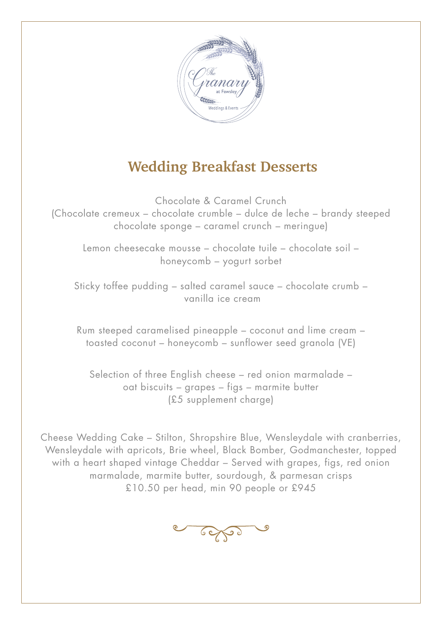

# **Wedding Breakfast Desserts**

Chocolate & Caramel Crunch (Chocolate cremeux – chocolate crumble – dulce de leche – brandy steeped chocolate sponge – caramel crunch – meringue)

Lemon cheesecake mousse – chocolate tuile – chocolate soil – honeycomb – yogurt sorbet

Sticky toffee pudding – salted caramel sauce – chocolate crumb – vanilla ice cream

Rum steeped caramelised pineapple – coconut and lime cream – toasted coconut – honeycomb – sunflower seed granola (VE)

Selection of three English cheese – red onion marmalade – oat biscuits – grapes – figs – marmite butter (£5 supplement charge)

Cheese Wedding Cake – Stilton, Shropshire Blue, Wensleydale with cranberries, Wensleydale with apricots, Brie wheel, Black Bomber, Godmanchester, topped with a heart shaped vintage Cheddar – Served with grapes, figs, red onion marmalade, marmite butter, sourdough, & parmesan crisps £10.50 per head, min 90 people or £945

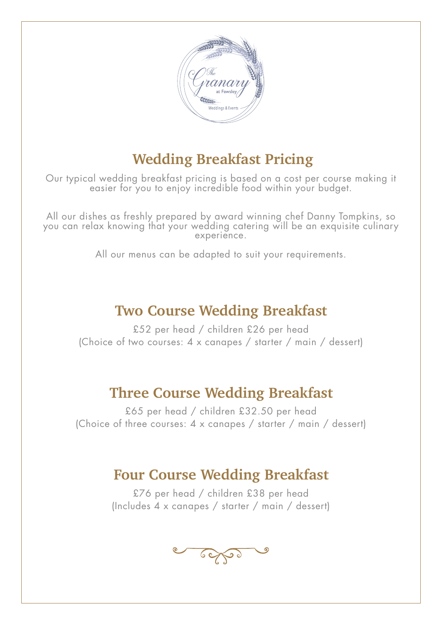

# **Wedding Breakfast Pricing**

Our typical wedding breakfast pricing is based on a cost per course making it easier for you to enjoy incredible food within your budget.

All our dishes as freshly prepared by award winning chef Danny Tompkins, so you can relax knowing that your wedding catering will be an exquisite culinary experience.

All our menus can be adapted to suit your requirements.

### **Two Course Wedding Breakfast**

£52 per head / children £26 per head (Choice of two courses: 4 x canapes / starter / main / dessert)

#### **Three Course Wedding Breakfast**

£65 per head / children £32.50 per head (Choice of three courses: 4 x canapes / starter / main / dessert)

#### **Four Course Wedding Breakfast**

£76 per head / children £38 per head (Includes 4 x canapes / starter / main / dessert)

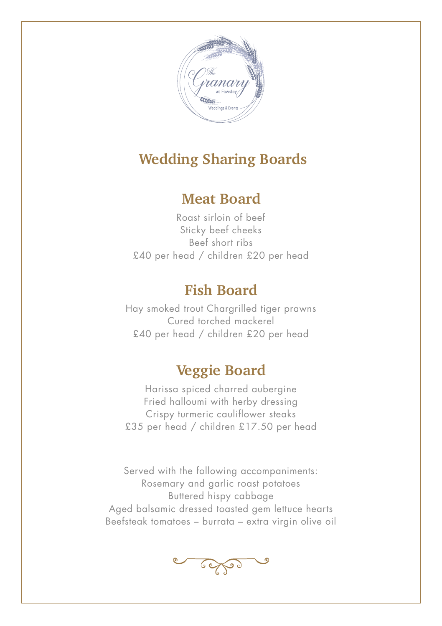

# **Wedding Sharing Boards**

### **Meat Board**

Roast sirloin of beef Sticky beef cheeks Beef short ribs £40 per head / children £20 per head

# **Fish Board**

Hay smoked trout Chargrilled tiger prawns Cured torched mackerel £40 per head / children £20 per head

# **Veggie Board**

Harissa spiced charred aubergine Fried halloumi with herby dressing Crispy turmeric cauliflower steaks £35 per head / children £17.50 per head

Served with the following accompaniments: Rosemary and garlic roast potatoes Buttered hispy cabbage Aged balsamic dressed toasted gem lettuce hearts Beefsteak tomatoes – burrata – extra virgin olive oil

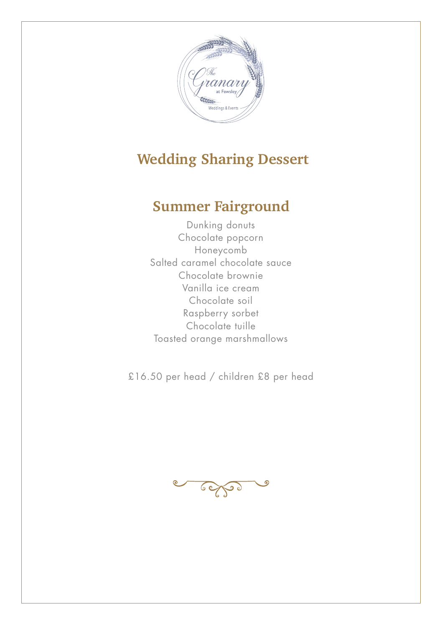

# **Wedding Sharing Dessert**

### **Summer Fairground**

Dunking donuts Chocolate popcorn Honeycomb Salted caramel chocolate sauce Chocolate brownie Vanilla ice cream Chocolate soil Raspberry sorbet Chocolate tuille Toasted orange marshmallows

£16.50 per head / children £8 per head

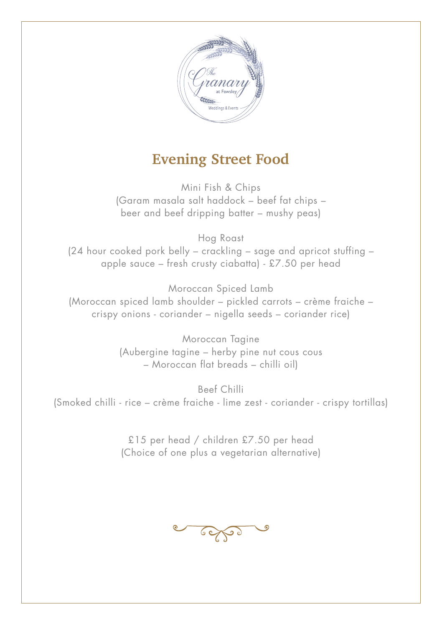

#### **Evening Street Food**

Mini Fish & Chips (Garam masala salt haddock – beef fat chips – beer and beef dripping batter – mushy peas)

Hog Roast (24 hour cooked pork belly – crackling – sage and apricot stuffing – apple sauce – fresh crusty ciabatta) - £7.50 per head

Moroccan Spiced Lamb (Moroccan spiced lamb shoulder – pickled carrots – crème fraiche – crispy onions - coriander – nigella seeds – coriander rice)

> Moroccan Tagine (Aubergine tagine – herby pine nut cous cous – Moroccan flat breads – chilli oil)

Beef Chilli (Smoked chilli - rice – crème fraiche - lime zest - coriander - crispy tortillas)

> £15 per head / children £7.50 per head (Choice of one plus a vegetarian alternative)

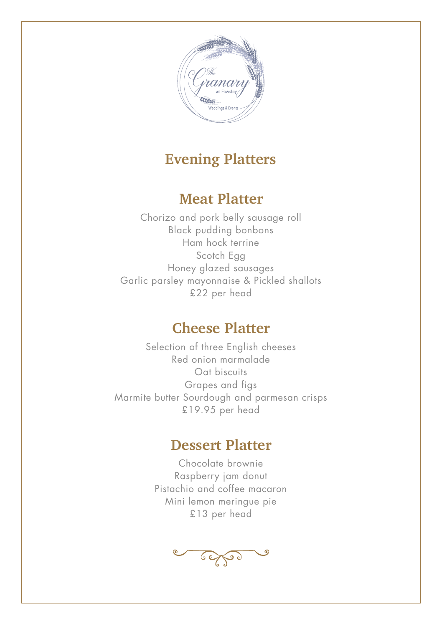

#### **Evening Platters**

#### **Meat Platter**

Chorizo and pork belly sausage roll Black pudding bonbons Ham hock terrine Scotch Egg Honey glazed sausages Garlic parsley mayonnaise & Pickled shallots £22 per head

### **Cheese Platter**

Selection of three English cheeses Red onion marmalade Oat biscuits Grapes and figs Marmite butter Sourdough and parmesan crisps £19.95 per head

#### **Dessert Platter**

Chocolate brownie Raspberry jam donut Pistachio and coffee macaron Mini lemon meringue pie £13 per head